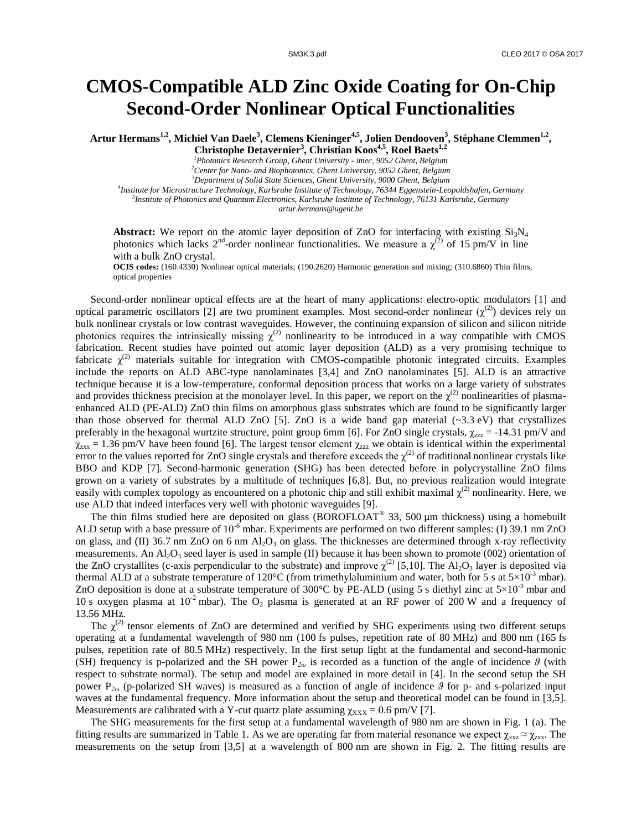## **CMOS-Compatible ALD Zinc Oxide Coating for On-Chip Second-Order Nonlinear Optical Functionalities**

**Artur Hermans1,2 , Michiel Van Daele<sup>3</sup> , Clemens Kieninger4,5 , Jolien Dendooven<sup>3</sup> , Stéphane Clemmen1,2 ,** 

**Christophe Detavernier<sup>3</sup> , Christian Koos4,5 , Roel Baets1,2**

*<sup>1</sup>Photonics Research Group, Ghent University - imec, 9052 Ghent, Belgium*

*<sup>2</sup>Center for Nano- and Biophotonics, Ghent University, 9052 Ghent, Belgium*

*<sup>3</sup>Department of Solid State Sciences, Ghent University, 9000 Ghent, Belgium*

*4 Institute for Microstructure Technology, Karlsruhe Institute of Technology, 76344 Eggenstein-Leopoldshafen, Germany 5 Institute of Photonics and Quantum Electronics, Karlsruhe Institute of Technology, 76131 Karlsruhe, Germany artur.hermans@ugent.be*

**Abstract:** We report on the atomic layer deposition of ZnO for interfacing with existing  $Si<sub>3</sub>N<sub>4</sub>$ photonics which lacks  $2^{nd}$ -order nonlinear functionalities. We measure a  $\chi^{(2)}$  of 15 pm/V in line with a bulk ZnO crystal.

**OCIS codes:** (160.4330) Nonlinear optical materials; (190.2620) Harmonic generation and mixing; (310.6860) Thin films, optical properties

Second-order nonlinear optical effects are at the heart of many applications: electro-optic modulators [1] and optical parametric oscillators [2] are two prominent examples. Most second-order nonlinear  $(\chi^{(2)})$  devices rely on bulk nonlinear crystals or low contrast waveguides. However, the continuing expansion of silicon and silicon nitride photonics requires the intrinsically missing  $\chi^{(2)}$  nonlinearity to be introduced in a way compatible with CMOS fabrication. Recent studies have pointed out atomic layer deposition (ALD) as a very promising technique to fabricate  $\chi^{(2)}$  materials suitable for integration with CMOS-compatible photonic integrated circuits. Examples include the reports on ALD ABC-type nanolaminates [3,4] and ZnO nanolaminates [5]. ALD is an attractive technique because it is a low-temperature, conformal deposition process that works on a large variety of substrates and provides thickness precision at the monolayer level. In this paper, we report on the  $\chi^{(2)}$  nonlinearities of plasmaenhanced ALD (PE-ALD) ZnO thin films on amorphous glass substrates which are found to be significantly larger than those observed for thermal ALD ZnO [5]. ZnO is a wide band gap material  $(\sim 3.3 \text{ eV})$  that crystallizes preferably in the hexagonal wurtzite structure, point group 6mm [6]. For ZnO single crystals,  $\chi_{zzz}$  = -14.31 pm/V and  $\chi_{\text{zxx}}$  = 1.36 pm/V have been found [6]. The largest tensor element  $\chi_{\text{zzz}}$  we obtain is identical within the experimental error to the values reported for ZnO single crystals and therefore exceeds the  $\chi^{(2)}$  of traditional nonlinear crystals like BBO and KDP [7]. Second-harmonic generation (SHG) has been detected before in polycrystalline ZnO films grown on a variety of substrates by a multitude of techniques [6,8]. But, no previous realization would integrate easily with complex topology as encountered on a photonic chip and still exhibit maximal  $\chi^{(2)}$  nonlinearity. Here, we use ALD that indeed interfaces very well with photonic waveguides [9].

The thin films studied here are deposited on glass (BOROFLOAT<sup>®</sup> 33, 500  $\mu$ m thickness) using a homebuilt ALD setup with a base pressure of  $10^{-6}$  mbar. Experiments are performed on two different samples: (I) 39.1 nm ZnO on glass, and (II) 36.7 nm ZnO on 6 nm  $Al_2O_3$  on glass. The thicknesses are determined through x-ray reflectivity measurements. An  $Al_2O_3$  seed layer is used in sample (II) because it has been shown to promote (002) orientation of the ZnO crystallites (c-axis perpendicular to the substrate) and improve  $\chi^{(2)}$  [5,10]. The Al<sub>2</sub>O<sub>3</sub> layer is deposited via thermal ALD at a substrate temperature of 120°C (from trimethylaluminium and water, both for 5 s at  $5\times10^{-3}$  mbar). ZnO deposition is done at a substrate temperature of 300°C by PE-ALD (using 5 s diethyl zinc at  $5\times10^{-3}$  mbar and 10 s oxygen plasma at  $10^{-2}$  mbar). The O<sub>2</sub> plasma is generated at an RF power of 200 W and a frequency of 13.56 MHz.

The  $\chi^{(2)}$  tensor elements of ZnO are determined and verified by SHG experiments using two different setups operating at a fundamental wavelength of 980 nm (100 fs pulses, repetition rate of 80 MHz) and 800 nm (165 fs pulses, repetition rate of 80.5 MHz) respectively. In the first setup light at the fundamental and second-harmonic (SH) frequency is p-polarized and the SH power P*2ω* is recorded as a function of the angle of incidence *ϑ* (with respect to substrate normal). The setup and model are explained in more detail in [4]. In the second setup the SH power P*2ω* (p-polarized SH waves) is measured as a function of angle of incidence *ϑ* for p- and s-polarized input waves at the fundamental frequency. More information about the setup and theoretical model can be found in [3,5]. Measurements are calibrated with a Y-cut quartz plate assuming  $\gamma_{\text{XXX}} = 0.6$  pm/V [7].

The SHG measurements for the first setup at a fundamental wavelength of 980 nm are shown in Fig. 1 (a). The fitting results are summarized in Table 1. As we are operating far from material resonance we expect  $\chi_{xxz} \approx \chi_{xxx}$ . The measurements on the setup from [3,5] at a wavelength of 800 nm are shown in Fig. 2. The fitting results are